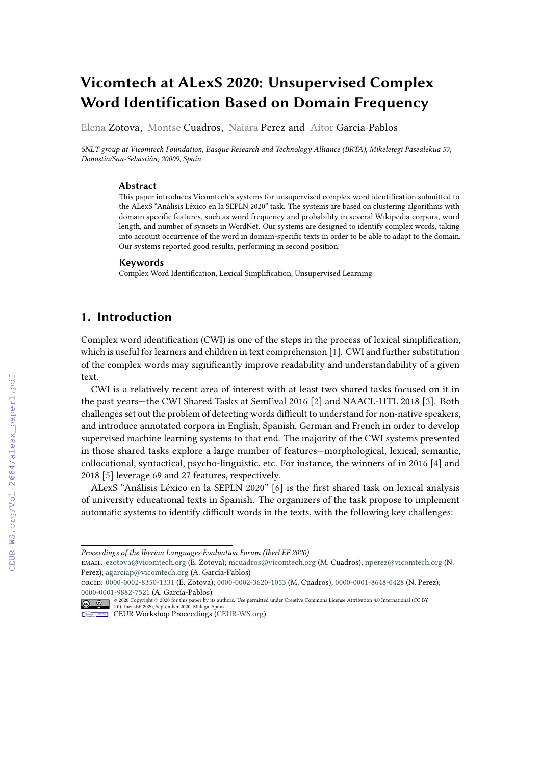# **Vicomtech at ALexS 2020: Unsupervised Complex Word Identification Based on Domain Frequency**

Elena Zotova, Montse Cuadros, Naiara Perez and Aitor García-Pablos

*SNLT group at Vicomtech Foundation, Basque Research and Technology Alliance (BRTA), Mikeletegi Pasealekua 57, Donostia/San-Sebastián, 20009, Spain*

#### **Abstract**

This paper introduces Vicomtech's systems for unsupervised complex word identification submitted to the ALexS "Análisis Léxico en la SEPLN 2020" task. The systems are based on clustering algorithms with domain specific features, such as word frequency and probability in several Wikipedia corpora, word length, and number of synsets in WordNet. Our systems are designed to identify complex words, taking into account occurrence of the word in domain-specific texts in order to be able to adapt to the domain. Our systems reported good results, performing in second position.

#### **Keywords**

Complex Word Identification, Lexical Simplification, Unsupervised Learning

# **1. Introduction**

Complex word identification (CWI) is one of the steps in the process of lexical simplification, which is useful for learners and children in text comprehension [\[1\]](#page--1-0). CWI and further substitution of the complex words may significantly improve readability and understandability of a given text.

CWI is a relatively recent area of interest with at least two shared tasks focused on it in the past years—the CWI Shared Tasks at SemEval 2016 [\[2\]](#page--1-1) and NAACL-HTL 2018 [\[3\]](#page--1-2). Both challenges set out the problem of detecting words difficult to understand for non-native speakers, and introduce annotated corpora in English, Spanish, German and French in order to develop supervised machine learning systems to that end. The majority of the CWI systems presented in those shared tasks explore a large number of features—morphological, lexical, semantic, collocational, syntactical, psycho-linguistic, etc. For instance, the winners of in 2016 [\[4\]](#page--1-3) and 2018 [\[5\]](#page--1-4) leverage 69 and 27 features, respectively.

ALexS "Análisis Léxico en la SEPLN 2020" [\[6\]](#page--1-5) is the first shared task on lexical analysis of university educational texts in Spanish. The organizers of the task propose to implement automatic systems to identify difficult words in the texts, with the following key challenges:

email: [ezotova@vicomtech.org](mailto:ezotova@vicomtech.org) (E. Zotova); [mcuadros@vicomtech.org](mailto:mcuadros@vicomtech.org) (M. Cuadros); [nperez@vicomtech.org](mailto:nperez@vicomtech.org) (N. Perez); [agarciap@vicomtech.org](mailto:agarciap@vicomtech.org) (A. García-Pablos)

*Proceedings of the Iberian Languages Evaluation Forum (IberLEF 2020)*

orcid: [0000-0002-8350-1331](https://orcid.org/0000-0002-8350-1331) (E. Zotova); [0000-0002-3620-1053](https://orcid.org/0000-0002-3620-1053) (M. Cuadros); [0000-0001-8648-0428](https://orcid.org/0000-0001-8648-0428) (N. Perez); [0000-0001-9882-7521](https://orcid.org/0000-0001-9882-7521) (A. García-Pablos)

<sup>© 2020</sup> Copyright © 2020 for this paper by its authors. Use permitted under Creative Commons License Attribution 4.0 International (CC BY<br>4.0). IberLEF 2020, September 2020, Málaga, Spain. CEUR Workshop [Proceedings](http://ceur-ws.org) [\(CEUR-WS.org\)](http://ceur-ws.org)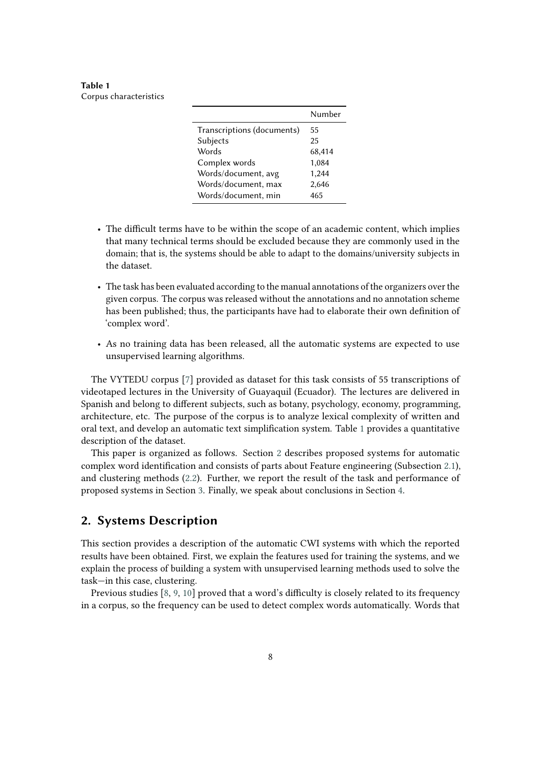<span id="page-1-0"></span>**Table 1** Corpus characteristics

|                            | Number |
|----------------------------|--------|
| Transcriptions (documents) | 55     |
| Subjects                   | 25     |
| Words                      | 68,414 |
| Complex words              | 1,084  |
| Words/document, avg        | 1,244  |
| Words/document, max        | 2,646  |
| Words/document, min        | 465    |

- The difficult terms have to be within the scope of an academic content, which implies that many technical terms should be excluded because they are commonly used in the domain; that is, the systems should be able to adapt to the domains/university subjects in the dataset.
- The task has been evaluated according to the manual annotations of the organizers over the given corpus. The corpus was released without the annotations and no annotation scheme has been published; thus, the participants have had to elaborate their own definition of 'complex word'.
- As no training data has been released, all the automatic systems are expected to use unsupervised learning algorithms.

The VYTEDU corpus [\[7\]](#page-6-0) provided as dataset for this task consists of 55 transcriptions of videotaped lectures in the University of Guayaquil (Ecuador). The lectures are delivered in Spanish and belong to different subjects, such as botany, psychology, economy, programming, architecture, etc. The purpose of the corpus is to analyze lexical complexity of written and oral text, and develop an automatic text simplification system. Table [1](#page-1-0) provides a quantitative description of the dataset.

This paper is organized as follows. Section [2](#page-1-1) describes proposed systems for automatic complex word identification and consists of parts about Feature engineering (Subsection [2.1\)](#page-2-0), and clustering methods [\(2.2\)](#page-3-0). Further, we report the result of the task and performance of proposed systems in Section [3.](#page-4-0) Finally, we speak about conclusions in Section [4.](#page-5-0)

# <span id="page-1-1"></span>**2. Systems Description**

This section provides a description of the automatic CWI systems with which the reported results have been obtained. First, we explain the features used for training the systems, and we explain the process of building a system with unsupervised learning methods used to solve the task—in this case, clustering.

Previous studies [\[8,](#page-6-1) [9,](#page-6-2) [10\]](#page-6-3) proved that a word's difficulty is closely related to its frequency in a corpus, so the frequency can be used to detect complex words automatically. Words that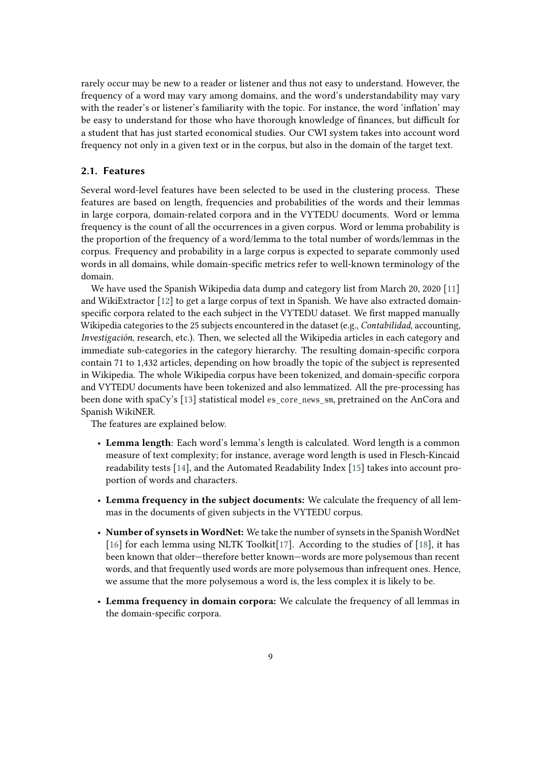rarely occur may be new to a reader or listener and thus not easy to understand. However, the frequency of a word may vary among domains, and the word's understandability may vary with the reader's or listener's familiarity with the topic. For instance, the word 'inflation' may be easy to understand for those who have thorough knowledge of finances, but difficult for a student that has just started economical studies. Our CWI system takes into account word frequency not only in a given text or in the corpus, but also in the domain of the target text.

### <span id="page-2-0"></span>**2.1. Features**

Several word-level features have been selected to be used in the clustering process. These features are based on length, frequencies and probabilities of the words and their lemmas in large corpora, domain-related corpora and in the VYTEDU documents. Word or lemma frequency is the count of all the occurrences in a given corpus. Word or lemma probability is the proportion of the frequency of a word/lemma to the total number of words/lemmas in the corpus. Frequency and probability in a large corpus is expected to separate commonly used words in all domains, while domain-specific metrics refer to well-known terminology of the domain.

We have used the Spanish Wikipedia data dump and category list from March 20, 2020 [\[11\]](#page-6-4) and WikiExtractor [\[12\]](#page-6-5) to get a large corpus of text in Spanish. We have also extracted domainspecific corpora related to the each subject in the VYTEDU dataset. We first mapped manually Wikipedia categories to the 25 subjects encountered in the dataset (e.g., *Contabilidad*, accounting, *Investigación*, research, etc.). Then, we selected all the Wikipedia articles in each category and immediate sub-categories in the category hierarchy. The resulting domain-specific corpora contain 71 to 1,432 articles, depending on how broadly the topic of the subject is represented in Wikipedia. The whole Wikipedia corpus have been tokenized, and domain-specific corpora and VYTEDU documents have been tokenized and also lemmatized. All the pre-processing has been done with spaCy's [\[13\]](#page-6-6) statistical model es core news  $\sin$ , pretrained on the AnCora and Spanish WikiNER.

The features are explained below.

- **Lemma length**: Each word's lemma's length is calculated. Word length is a common measure of text complexity; for instance, average word length is used in Flesch-Kincaid readability tests [\[14\]](#page-6-7), and the Automated Readability Index [\[15\]](#page-7-0) takes into account proportion of words and characters.
- **Lemma frequency in the subject documents:** We calculate the frequency of all lemmas in the documents of given subjects in the VYTEDU corpus.
- **Number of synsets in WordNet:** We take the number of synsets in the Spanish WordNet [\[16\]](#page-7-1) for each lemma using NLTK Toolkit[\[17\]](#page-7-2). According to the studies of [\[18\]](#page-7-3), it has been known that older—therefore better known—words are more polysemous than recent words, and that frequently used words are more polysemous than infrequent ones. Hence, we assume that the more polysemous a word is, the less complex it is likely to be.
- **Lemma frequency in domain corpora:** We calculate the frequency of all lemmas in the domain-specific corpora.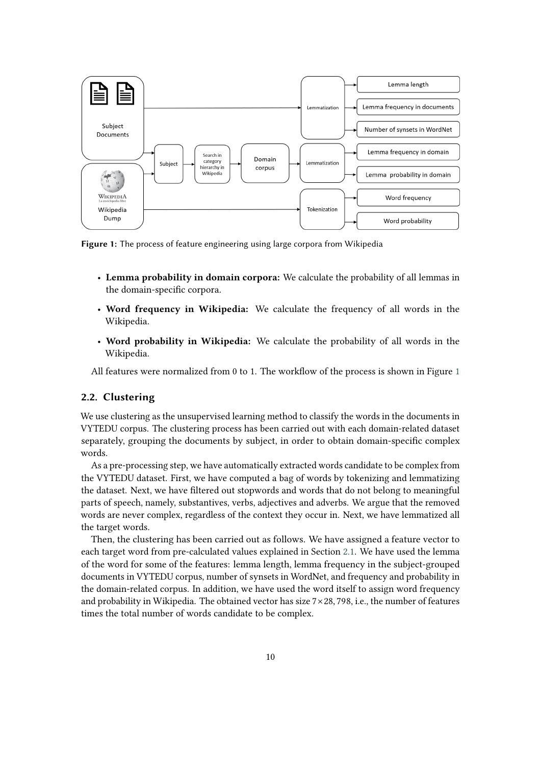

<span id="page-3-1"></span>**Figure 1:** The process of feature engineering using large corpora from Wikipedia

- **Lemma probability in domain corpora:** We calculate the probability of all lemmas in the domain-specific corpora.
- **Word frequency in Wikipedia:** We calculate the frequency of all words in the Wikipedia.
- **Word probability in Wikipedia:** We calculate the probability of all words in the Wikipedia.

All features were normalized from 0 to 1. The workflow of the process is shown in Figure [1](#page-3-1)

## <span id="page-3-0"></span>**2.2. Clustering**

We use clustering as the unsupervised learning method to classify the words in the documents in VYTEDU corpus. The clustering process has been carried out with each domain-related dataset separately, grouping the documents by subject, in order to obtain domain-specific complex words.

As a pre-processing step, we have automatically extracted words candidate to be complex from the VYTEDU dataset. First, we have computed a bag of words by tokenizing and lemmatizing the dataset. Next, we have filtered out stopwords and words that do not belong to meaningful parts of speech, namely, substantives, verbs, adjectives and adverbs. We argue that the removed words are never complex, regardless of the context they occur in. Next, we have lemmatized all the target words.

Then, the clustering has been carried out as follows. We have assigned a feature vector to each target word from pre-calculated values explained in Section [2.1.](#page-2-0) We have used the lemma of the word for some of the features: lemma length, lemma frequency in the subject-grouped documents in VYTEDU corpus, number of synsets in WordNet, and frequency and probability in the domain-related corpus. In addition, we have used the word itself to assign word frequency and probability in Wikipedia. The obtained vector has size  $7 \times 28$ , 798, i.e., the number of features times the total number of words candidate to be complex.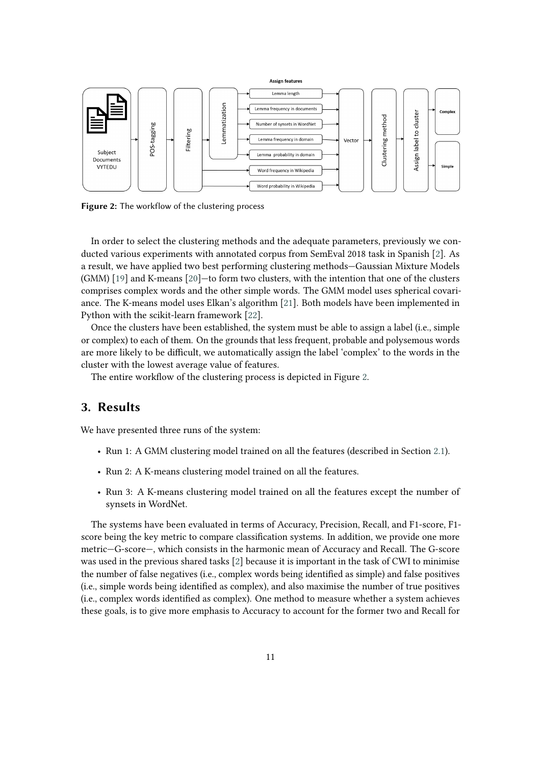

<span id="page-4-1"></span>**Figure 2:** The workflow of the clustering process

In order to select the clustering methods and the adequate parameters, previously we conducted various experiments with annotated corpus from SemEval 2018 task in Spanish [\[2\]](#page-6-8). As a result, we have applied two best performing clustering methods—Gaussian Mixture Models (GMM) [\[19\]](#page-7-4) and K-means [\[20\]](#page-7-5)—to form two clusters, with the intention that one of the clusters comprises complex words and the other simple words. The GMM model uses spherical covariance. The K-means model uses Elkan's algorithm [\[21\]](#page-7-6). Both models have been implemented in Python with the scikit-learn framework [\[22\]](#page-7-7).

Once the clusters have been established, the system must be able to assign a label (i.e., simple or complex) to each of them. On the grounds that less frequent, probable and polysemous words are more likely to be difficult, we automatically assign the label 'complex' to the words in the cluster with the lowest average value of features.

The entire workflow of the clustering process is depicted in Figure [2.](#page-4-1)

# <span id="page-4-0"></span>**3. Results**

We have presented three runs of the system:

- Run 1: A GMM clustering model trained on all the features (described in Section [2.1\)](#page-2-0).
- Run 2: A K-means clustering model trained on all the features.
- Run 3: A K-means clustering model trained on all the features except the number of synsets in WordNet.

The systems have been evaluated in terms of Accuracy, Precision, Recall, and F1-score, F1 score being the key metric to compare classification systems. In addition, we provide one more metric—G-score—, which consists in the harmonic mean of Accuracy and Recall. The G-score was used in the previous shared tasks [\[2\]](#page-6-8) because it is important in the task of CWI to minimise the number of false negatives (i.e., complex words being identified as simple) and false positives (i.e., simple words being identified as complex), and also maximise the number of true positives (i.e., complex words identified as complex). One method to measure whether a system achieves these goals, is to give more emphasis to Accuracy to account for the former two and Recall for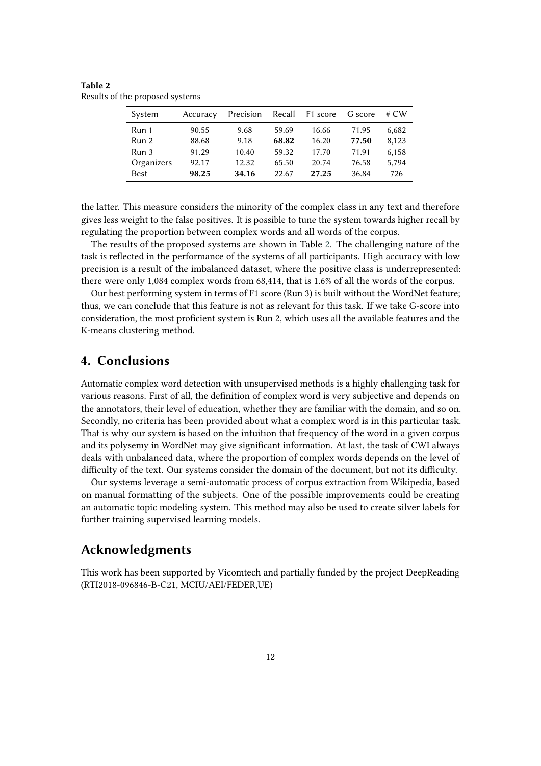| System      | Accuracy | Precision | Recall | F1 score | G score | # $CW$ |
|-------------|----------|-----------|--------|----------|---------|--------|
| Run 1       | 90.55    | 9.68      | 59.69  | 16.66    | 71.95   | 6,682  |
| Run 2       | 88.68    | 9.18      | 68.82  | 16.20    | 77.50   | 8.123  |
| Run 3       | 91.29    | 10.40     | 59.32  | 17.70    | 71.91   | 6,158  |
| Organizers  | 92.17    | 12.32     | 65.50  | 20.74    | 76.58   | 5,794  |
| <b>Best</b> | 98.25    | 34.16     | 22.67  | 27.25    | 36.84   | 726    |

<span id="page-5-1"></span>**Table 2** Results of the proposed systems

the latter. This measure considers the minority of the complex class in any text and therefore gives less weight to the false positives. It is possible to tune the system towards higher recall by regulating the proportion between complex words and all words of the corpus.

The results of the proposed systems are shown in Table [2.](#page-5-1) The challenging nature of the task is reflected in the performance of the systems of all participants. High accuracy with low precision is a result of the imbalanced dataset, where the positive class is underrepresented: there were only 1,084 complex words from 68,414, that is 1.6% of all the words of the corpus.

Our best performing system in terms of F1 score (Run 3) is built without the WordNet feature; thus, we can conclude that this feature is not as relevant for this task. If we take G-score into consideration, the most proficient system is Run 2, which uses all the available features and the K-means clustering method.

# <span id="page-5-0"></span>**4. Conclusions**

Automatic complex word detection with unsupervised methods is a highly challenging task for various reasons. First of all, the definition of complex word is very subjective and depends on the annotators, their level of education, whether they are familiar with the domain, and so on. Secondly, no criteria has been provided about what a complex word is in this particular task. That is why our system is based on the intuition that frequency of the word in a given corpus and its polysemy in WordNet may give significant information. At last, the task of CWI always deals with unbalanced data, where the proportion of complex words depends on the level of difficulty of the text. Our systems consider the domain of the document, but not its difficulty.

Our systems leverage a semi-automatic process of corpus extraction from Wikipedia, based on manual formatting of the subjects. One of the possible improvements could be creating an automatic topic modeling system. This method may also be used to create silver labels for further training supervised learning models.

## **Acknowledgments**

This work has been supported by Vicomtech and partially funded by the project DeepReading (RTI2018-096846-B-C21, MCIU/AEI/FEDER,UE)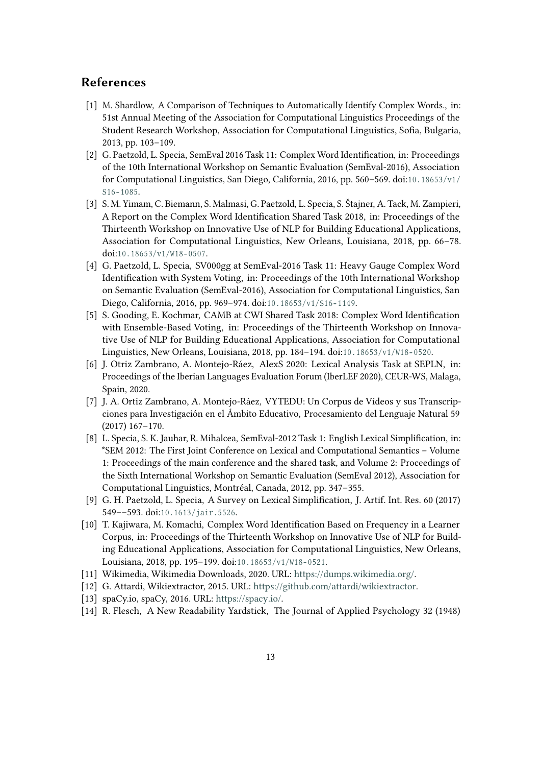# **References**

- [1] M. Shardlow, A Comparison of Techniques to Automatically Identify Complex Words., in: 51st Annual Meeting of the Association for Computational Linguistics Proceedings of the Student Research Workshop, Association for Computational Linguistics, Sofia, Bulgaria, 2013, pp. 103–109.
- <span id="page-6-8"></span>[2] G. Paetzold, L. Specia, SemEval 2016 Task 11: Complex Word Identification, in: Proceedings of the 10th International Workshop on Semantic Evaluation (SemEval-2016), Association for Computational Linguistics, San Diego, California, 2016, pp. 560–569. doi:10.18653/v1/  $S16 - 1085.$
- [3] S. M. Yimam, C. Biemann, S. Malmasi, G. Paetzold, L. Specia, S. Štajner, A. Tack, M. Zampieri, A Report on the Complex Word Identification Shared Task 2018, in: Proceedings of the Thirteenth Workshop on Innovative Use of NLP for Building Educational Applications, Association for Computational Linguistics, New Orleans, Louisiana, 2018, pp. 66–78. doi:10.18653/v1/W18-0507.
- [4] G. Paetzold, L. Specia, SV000gg at SemEval-2016 Task 11: Heavy Gauge Complex Word Identification with System Voting, in: Proceedings of the 10th International Workshop on Semantic Evaluation (SemEval-2016), Association for Computational Linguistics, San Diego, California, 2016, pp. 969-974. doi:10.18653/v1/S16-1149.
- [5] S. Gooding, E. Kochmar, CAMB at CWI Shared Task 2018: Complex Word Identification with Ensemble-Based Voting, in: Proceedings of the Thirteenth Workshop on Innovative Use of NLP for Building Educational Applications, Association for Computational Linguistics, New Orleans, Louisiana, 2018, pp. 184-194. doi:10.18653/v1/W18-0520.
- [6] J. Otriz Zambrano, A. Montejo-Ráez, AlexS 2020: Lexical Analysis Task at SEPLN, in: Proceedings of the Iberian Languages Evaluation Forum (IberLEF 2020), CEUR-WS, Malaga, Spain, 2020.
- <span id="page-6-0"></span>[7] J. A. Ortiz Zambrano, A. Montejo-Ráez, VYTEDU: Un Corpus de Vídeos y sus Transcripciones para Investigación en el Ámbito Educativo, Procesamiento del Lenguaje Natural 59 (2017) 167–170.
- <span id="page-6-1"></span>[8] L. Specia, S. K. Jauhar, R. Mihalcea, SemEval-2012 Task 1: English Lexical Simplification, in: \*SEM 2012: The First Joint Conference on Lexical and Computational Semantics – Volume 1: Proceedings of the main conference and the shared task, and Volume 2: Proceedings of the Sixth International Workshop on Semantic Evaluation (SemEval 2012), Association for Computational Linguistics, Montréal, Canada, 2012, pp. 347–355.
- <span id="page-6-2"></span>[9] G. H. Paetzold, L. Specia, A Survey on Lexical Simplification, J. Artif. Int. Res. 60 (2017) 549 -- 593. doi:10.1613/jair.5526.
- <span id="page-6-3"></span>[10] T. Kajiwara, M. Komachi, Complex Word Identification Based on Frequency in a Learner Corpus, in: Proceedings of the Thirteenth Workshop on Innovative Use of NLP for Building Educational Applications, Association for Computational Linguistics, New Orleans, Louisiana, 2018, pp. 195-199. doi:10.18653/v1/W18-0521.
- <span id="page-6-4"></span>[11] Wikimedia, Wikimedia Downloads, 2020. URL: [https://dumps.wikimedia.org/.](https://dumps.wikimedia.org/)
- <span id="page-6-5"></span>[12] G. Attardi, Wikiextractor, 2015. URL: [https://github.com/attardi/wikiextractor.](https://github.com/attardi/wikiextractor)
- <span id="page-6-6"></span>[13] spaCy.io, spaCy, 2016. URL: [https://spacy.io/.](https://spacy.io/)
- <span id="page-6-7"></span>[14] R. Flesch, A New Readability Yardstick, The Journal of Applied Psychology 32 (1948)